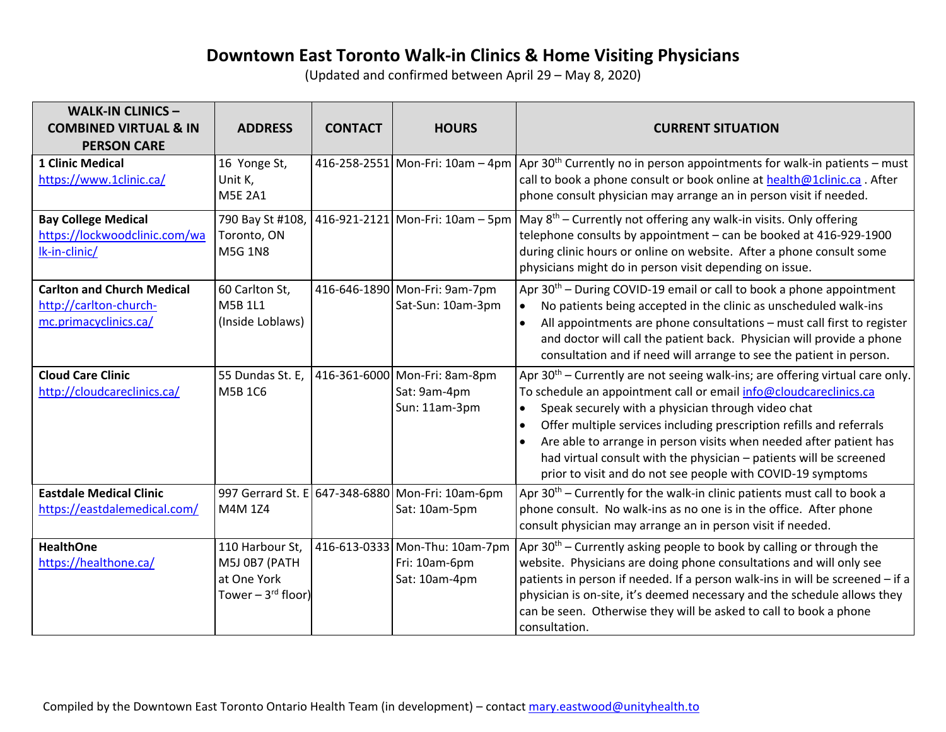## **Downtown East Toronto Walk-in Clinics & Home Visiting Physicians**

(Updated and confirmed between April 29 – May 8, 2020)

| <b>WALK-IN CLINICS-</b><br><b>COMBINED VIRTUAL &amp; IN</b><br><b>PERSON CARE</b>    | <b>ADDRESS</b>                                                                     | <b>CONTACT</b> | <b>HOURS</b>                                                      | <b>CURRENT SITUATION</b>                                                                                                                                                                                                                                                                                                                                                                                                                                                                                                |
|--------------------------------------------------------------------------------------|------------------------------------------------------------------------------------|----------------|-------------------------------------------------------------------|-------------------------------------------------------------------------------------------------------------------------------------------------------------------------------------------------------------------------------------------------------------------------------------------------------------------------------------------------------------------------------------------------------------------------------------------------------------------------------------------------------------------------|
| <b>1 Clinic Medical</b><br>https://www.1clinic.ca/                                   | 16 Yonge St,<br>Unit K,<br><b>M5E 2A1</b>                                          |                |                                                                   | 416-258-2551 Mon-Fri: 10am – 4pm Apr 30 <sup>th</sup> Currently no in person appointments for walk-in patients – must<br>call to book a phone consult or book online at health@1clinic.ca. After<br>phone consult physician may arrange an in person visit if needed.                                                                                                                                                                                                                                                   |
| <b>Bay College Medical</b><br>https://lockwoodclinic.com/wa<br>Ik-in-clinic/         | 790 Bay St #108,<br>Toronto, ON<br><b>M5G 1N8</b>                                  |                |                                                                   | 416-921-2121 Mon-Fri: 10am – 5pm May $8^{th}$ – Currently not offering any walk-in visits. Only offering<br>telephone consults by appointment - can be booked at 416-929-1900<br>during clinic hours or online on website. After a phone consult some<br>physicians might do in person visit depending on issue.                                                                                                                                                                                                        |
| <b>Carlton and Church Medical</b><br>http://carlton-church-<br>mc.primacyclinics.ca/ | 60 Carlton St,<br>M5B 1L1<br>(Inside Loblaws)                                      |                | 416-646-1890 Mon-Fri: 9am-7pm<br>Sat-Sun: 10am-3pm                | Apr $30th$ – During COVID-19 email or call to book a phone appointment<br>No patients being accepted in the clinic as unscheduled walk-ins<br>$\bullet$<br>All appointments are phone consultations - must call first to register<br>and doctor will call the patient back. Physician will provide a phone<br>consultation and if need will arrange to see the patient in person.                                                                                                                                       |
| <b>Cloud Care Clinic</b><br>http://cloudcareclinics.ca/                              | 55 Dundas St. E,<br>M5B 1C6                                                        | 416-361-6000   | Mon-Fri: 8am-8pm<br>Sat: 9am-4pm<br>Sun: 11am-3pm                 | Apr $30th$ – Currently are not seeing walk-ins; are offering virtual care only.<br>To schedule an appointment call or email info@cloudcareclinics.ca<br>Speak securely with a physician through video chat<br>$\bullet$<br>Offer multiple services including prescription refills and referrals<br>Are able to arrange in person visits when needed after patient has<br>$\bullet$<br>had virtual consult with the physician - patients will be screened<br>prior to visit and do not see people with COVID-19 symptoms |
| <b>Eastdale Medical Clinic</b><br>https://eastdalemedical.com/                       | M4M 1Z4                                                                            |                | 997 Gerrard St. E 647-348-6880 Mon-Fri: 10am-6pm<br>Sat: 10am-5pm | Apr $30th$ – Currently for the walk-in clinic patients must call to book a<br>phone consult. No walk-ins as no one is in the office. After phone<br>consult physician may arrange an in person visit if needed.                                                                                                                                                                                                                                                                                                         |
| <b>HealthOne</b><br>https://healthone.ca/                                            | 110 Harbour St,<br>M5J 0B7 (PATH<br>at One York<br>Tower $-3$ <sup>rd</sup> floor) |                | 416-613-0333 Mon-Thu: 10am-7pm<br>Fri: 10am-6pm<br>Sat: 10am-4pm  | Apr $30th$ – Currently asking people to book by calling or through the<br>website. Physicians are doing phone consultations and will only see<br>patients in person if needed. If a person walk-ins in will be screened - if a<br>physician is on-site, it's deemed necessary and the schedule allows they<br>can be seen. Otherwise they will be asked to call to book a phone<br>consultation.                                                                                                                        |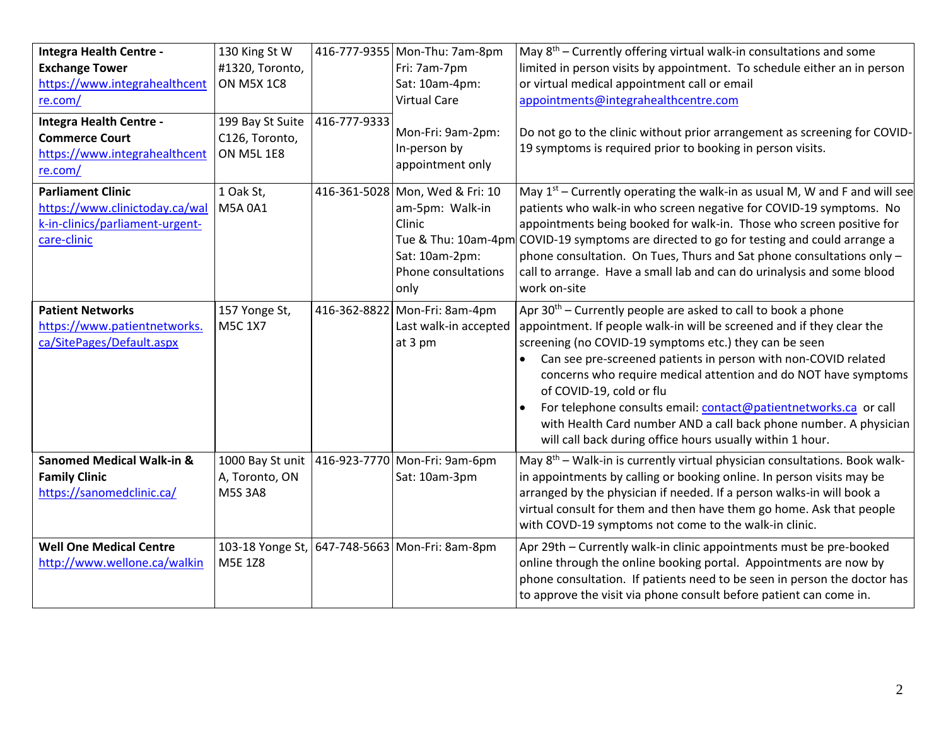| Integra Health Centre -                                                                                      | 130 King St W                                           |              | 416-777-9355 Mon-Thu: 7am-8pm                                                                                 | May $8th$ – Currently offering virtual walk-in consultations and some                                                                                                                                                                                                                                                                                                                                                                                                                                                                                                     |
|--------------------------------------------------------------------------------------------------------------|---------------------------------------------------------|--------------|---------------------------------------------------------------------------------------------------------------|---------------------------------------------------------------------------------------------------------------------------------------------------------------------------------------------------------------------------------------------------------------------------------------------------------------------------------------------------------------------------------------------------------------------------------------------------------------------------------------------------------------------------------------------------------------------------|
| <b>Exchange Tower</b>                                                                                        | #1320, Toronto,                                         |              | Fri: 7am-7pm                                                                                                  | limited in person visits by appointment. To schedule either an in person                                                                                                                                                                                                                                                                                                                                                                                                                                                                                                  |
| https://www.integrahealthcent                                                                                | <b>ON M5X 1C8</b>                                       |              | Sat: 10am-4pm:                                                                                                | or virtual medical appointment call or email                                                                                                                                                                                                                                                                                                                                                                                                                                                                                                                              |
| re.com/                                                                                                      |                                                         |              | <b>Virtual Care</b>                                                                                           | appointments@integrahealthcentre.com                                                                                                                                                                                                                                                                                                                                                                                                                                                                                                                                      |
| Integra Health Centre -<br><b>Commerce Court</b><br>https://www.integrahealthcent<br>re.com/                 | 199 Bay St Suite<br>C126, Toronto,<br><b>ON M5L 1E8</b> | 416-777-9333 | Mon-Fri: 9am-2pm:<br>In-person by<br>appointment only                                                         | Do not go to the clinic without prior arrangement as screening for COVID-<br>19 symptoms is required prior to booking in person visits.                                                                                                                                                                                                                                                                                                                                                                                                                                   |
| <b>Parliament Clinic</b><br>https://www.clinictoday.ca/wal<br>k-in-clinics/parliament-urgent-<br>care-clinic | 1 Oak St,<br>M5A 0A1                                    |              | 416-361-5028 Mon, Wed & Fri: 10<br>am-5pm: Walk-in<br>Clinic<br>Sat: 10am-2pm:<br>Phone consultations<br>only | May $1st$ – Currently operating the walk-in as usual M, W and F and will see<br>patients who walk-in who screen negative for COVID-19 symptoms. No<br>appointments being booked for walk-in. Those who screen positive for<br>Tue & Thu: 10am-4pm COVID-19 symptoms are directed to go for testing and could arrange a<br>phone consultation. On Tues, Thurs and Sat phone consultations only -<br>call to arrange. Have a small lab and can do urinalysis and some blood<br>work on-site                                                                                 |
| <b>Patient Networks</b><br>https://www.patientnetworks.<br>ca/SitePages/Default.aspx                         | 157 Yonge St,<br><b>M5C 1X7</b>                         | 416-362-8822 | Mon-Fri: 8am-4pm<br>Last walk-in accepted<br>at 3 pm                                                          | Apr $30th$ – Currently people are asked to call to book a phone<br>appointment. If people walk-in will be screened and if they clear the<br>screening (no COVID-19 symptoms etc.) they can be seen<br>Can see pre-screened patients in person with non-COVID related<br>concerns who require medical attention and do NOT have symptoms<br>of COVID-19, cold or flu<br>For telephone consults email: contact@patientnetworks.ca_or call<br>with Health Card number AND a call back phone number. A physician<br>will call back during office hours usually within 1 hour. |
| <b>Sanomed Medical Walk-in &amp;</b><br><b>Family Clinic</b><br>https://sanomedclinic.ca/                    | 1000 Bay St unit<br>A, Toronto, ON<br><b>M5S 3A8</b>    | 416-923-7770 | Mon-Fri: 9am-6pm<br>Sat: 10am-3pm                                                                             | May 8 <sup>th</sup> – Walk-in is currently virtual physician consultations. Book walk-<br>in appointments by calling or booking online. In person visits may be<br>arranged by the physician if needed. If a person walks-in will book a<br>virtual consult for them and then have them go home. Ask that people<br>with COVD-19 symptoms not come to the walk-in clinic.                                                                                                                                                                                                 |
| <b>Well One Medical Centre</b><br>http://www.wellone.ca/walkin                                               | M5E 1Z8                                                 |              | 103-18 Yonge St, 647-748-5663 Mon-Fri: 8am-8pm                                                                | Apr 29th - Currently walk-in clinic appointments must be pre-booked<br>online through the online booking portal. Appointments are now by<br>phone consultation. If patients need to be seen in person the doctor has<br>to approve the visit via phone consult before patient can come in.                                                                                                                                                                                                                                                                                |